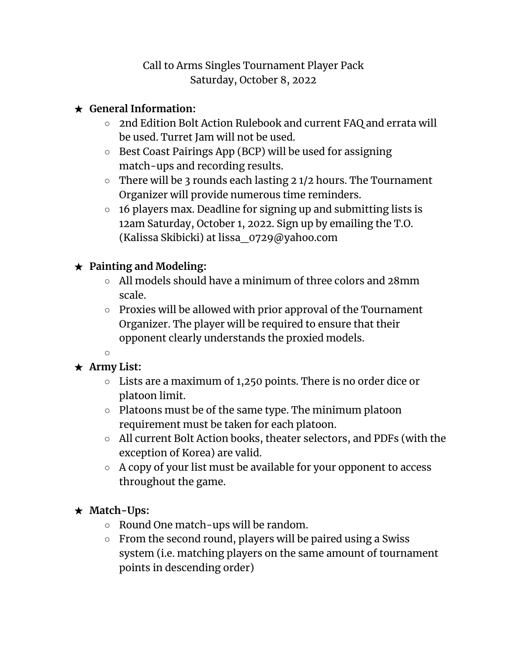#### Call to Arms Singles Tournament Player Pack Saturday, October 8, 2022

### ★ **General Information:**

- 2nd Edition Bolt Action Rulebook and current FAQ and errata will be used. Turret Jam will not be used.
- Best Coast Pairings App (BCP) will be used for assigning match-ups and recording results.
- $\circ$  There will be 3 rounds each lasting 2 1/2 hours. The Tournament Organizer will provide numerous time reminders.
- $\circ$  16 players max. Deadline for signing up and submitting lists is 12am Saturday, October 1, 2022. Sign up by emailing the T.O. (Kalissa Skibicki) at lissa\_0729@yahoo.com

### ★ **Painting and Modeling:**

- All models should have a minimum of three colors and 28mm scale.
- Proxies will be allowed with prior approval of the Tournament Organizer. The player will be required to ensure that their opponent clearly understands the proxied models.
- $\Omega$

# ★ **Army List:**

- Lists are a maximum of 1,250 points. There is no order dice or platoon limit.
- Platoons must be of the same type. The minimum platoon requirement must be taken for each platoon.
- All current Bolt Action books, theater selectors, and PDFs (with the exception of Korea) are valid.
- A copy of your list must be available for your opponent to access throughout the game.

#### ★ **Match-Ups:**

- Round One match-ups will be random.
- From the second round, players will be paired using a Swiss system (i.e. matching players on the same amount of tournament points in descending order)